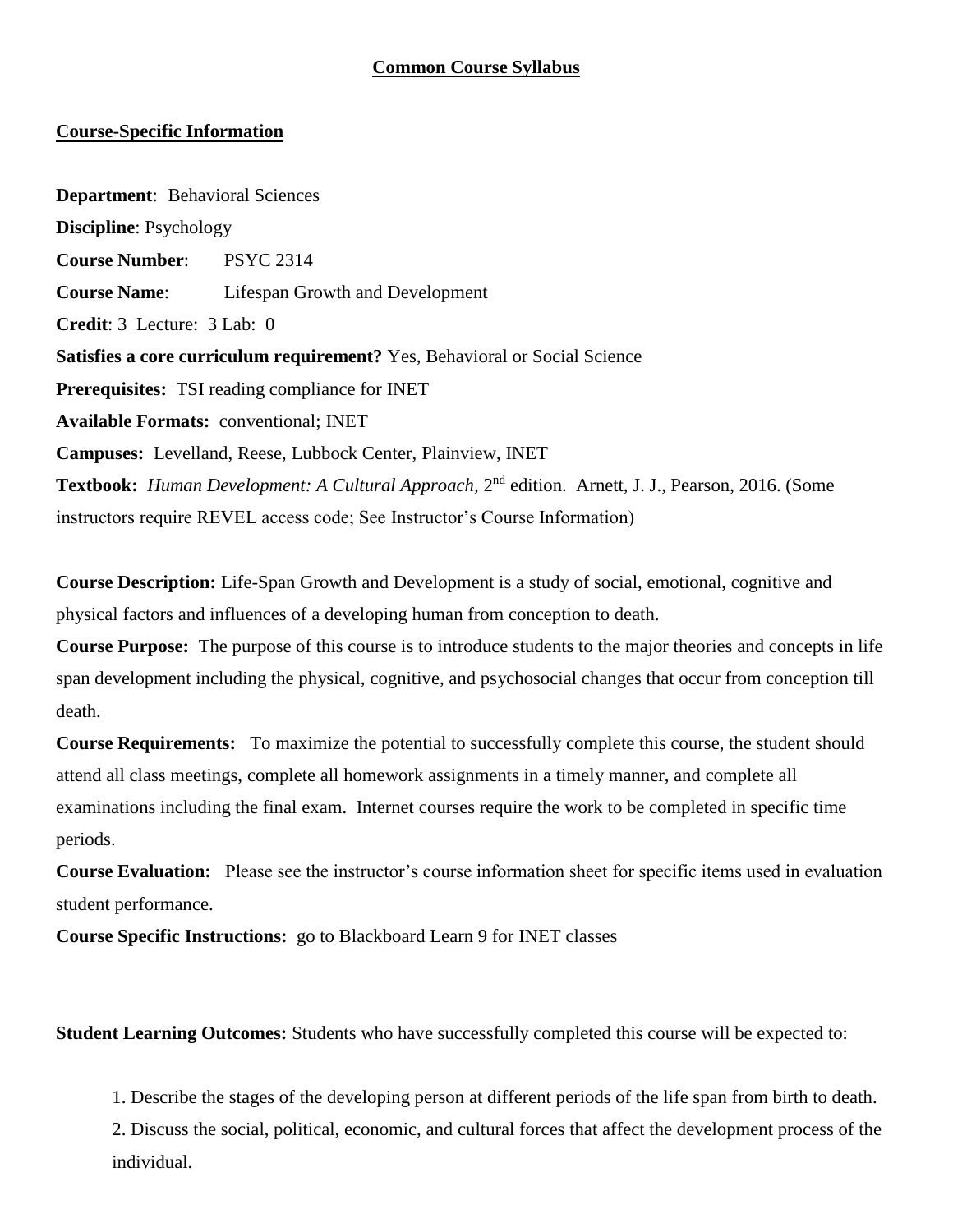#### **Common Course Syllabus**

#### **Course-Specific Information**

**Department**: Behavioral Sciences **Discipline**: Psychology **Course Number**: PSYC 2314 **Course Name**: Lifespan Growth and Development **Credit**: 3 Lecture: 3 Lab: 0 **Satisfies a core curriculum requirement?** Yes, Behavioral or Social Science **Prerequisites:** TSI reading compliance for INET **Available Formats:** conventional; INET **Campuses:** Levelland, Reese, Lubbock Center, Plainview, INET Textbook: *Human Development: A Cultural Approach*, 2<sup>nd</sup> edition. Arnett, J. J., Pearson, 2016. (Some instructors require REVEL access code; See Instructor's Course Information)

**Course Description:** Life-Span Growth and Development is a study of social, emotional, cognitive and physical factors and influences of a developing human from conception to death.

**Course Purpose:** The purpose of this course is to introduce students to the major theories and concepts in life span development including the physical, cognitive, and psychosocial changes that occur from conception till death.

**Course Requirements:** To maximize the potential to successfully complete this course, the student should attend all class meetings, complete all homework assignments in a timely manner, and complete all examinations including the final exam. Internet courses require the work to be completed in specific time periods.

**Course Evaluation:** Please see the instructor's course information sheet for specific items used in evaluation student performance.

**Course Specific Instructions:** go to Blackboard Learn 9 for INET classes

**Student Learning Outcomes:** Students who have successfully completed this course will be expected to:

1. Describe the stages of the developing person at different periods of the life span from birth to death.

2. Discuss the social, political, economic, and cultural forces that affect the development process of the individual.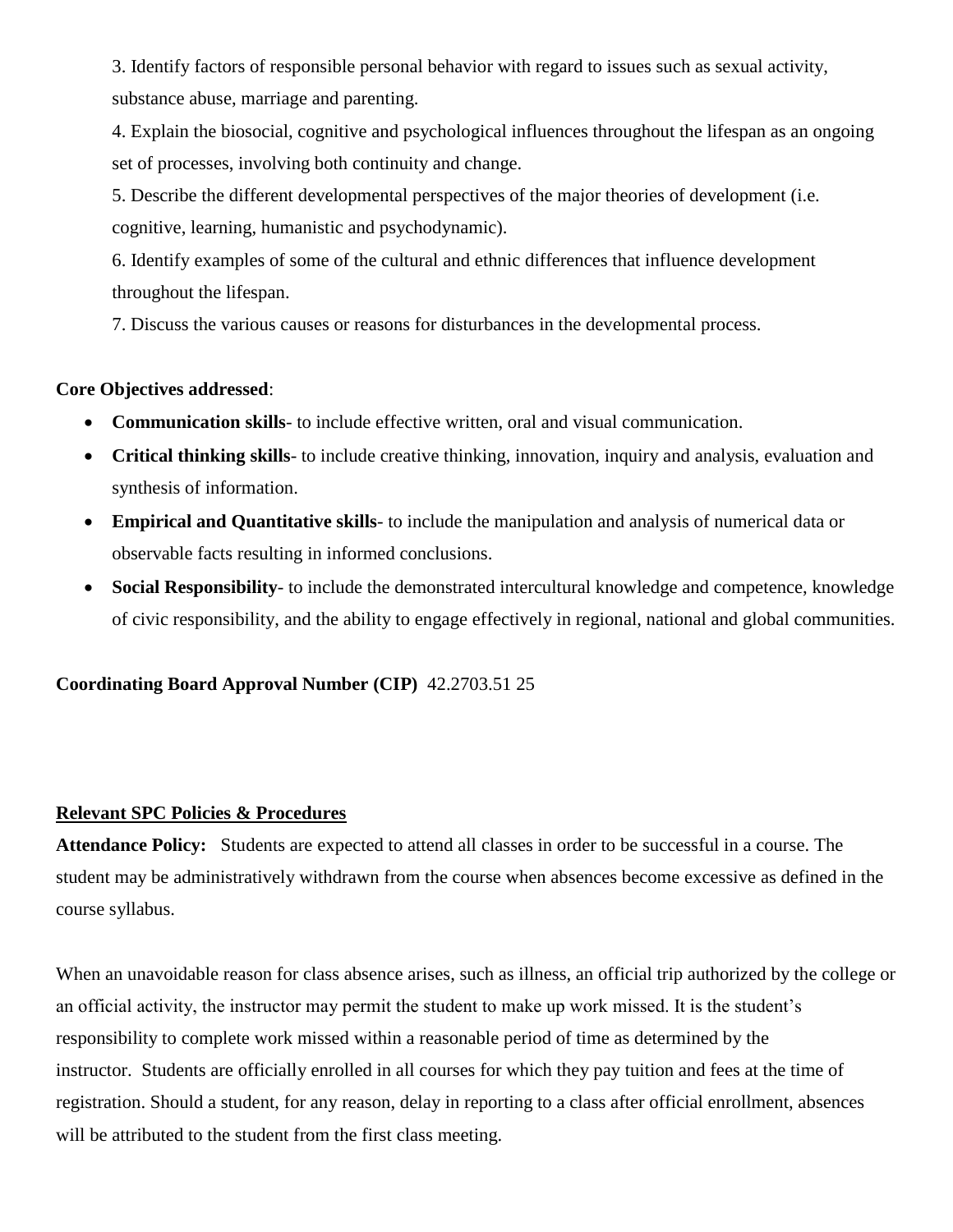3. Identify factors of responsible personal behavior with regard to issues such as sexual activity, substance abuse, marriage and parenting.

4. Explain the biosocial, cognitive and psychological influences throughout the lifespan as an ongoing set of processes, involving both continuity and change.

5. Describe the different developmental perspectives of the major theories of development (i.e. cognitive, learning, humanistic and psychodynamic).

6. Identify examples of some of the cultural and ethnic differences that influence development throughout the lifespan.

7. Discuss the various causes or reasons for disturbances in the developmental process.

### **Core Objectives addressed**:

- **Communication skills** to include effective written, oral and visual communication.
- **Critical thinking skills** to include creative thinking, innovation, inquiry and analysis, evaluation and synthesis of information.
- **Empirical and Quantitative skills** to include the manipulation and analysis of numerical data or observable facts resulting in informed conclusions.
- **Social Responsibility** to include the demonstrated intercultural knowledge and competence, knowledge of civic responsibility, and the ability to engage effectively in regional, national and global communities.

# **Coordinating Board Approval Number (CIP)** 42.2703.51 25

### **Relevant SPC Policies & Procedures**

**Attendance Policy:** Students are expected to attend all classes in order to be successful in a course. The student may be administratively withdrawn from the course when absences become excessive as defined in the course syllabus.

When an unavoidable reason for class absence arises, such as illness, an official trip authorized by the college or an official activity, the instructor may permit the student to make up work missed. It is the student's responsibility to complete work missed within a reasonable period of time as determined by the instructor. Students are officially enrolled in all courses for which they pay tuition and fees at the time of registration. Should a student, for any reason, delay in reporting to a class after official enrollment, absences will be attributed to the student from the first class meeting.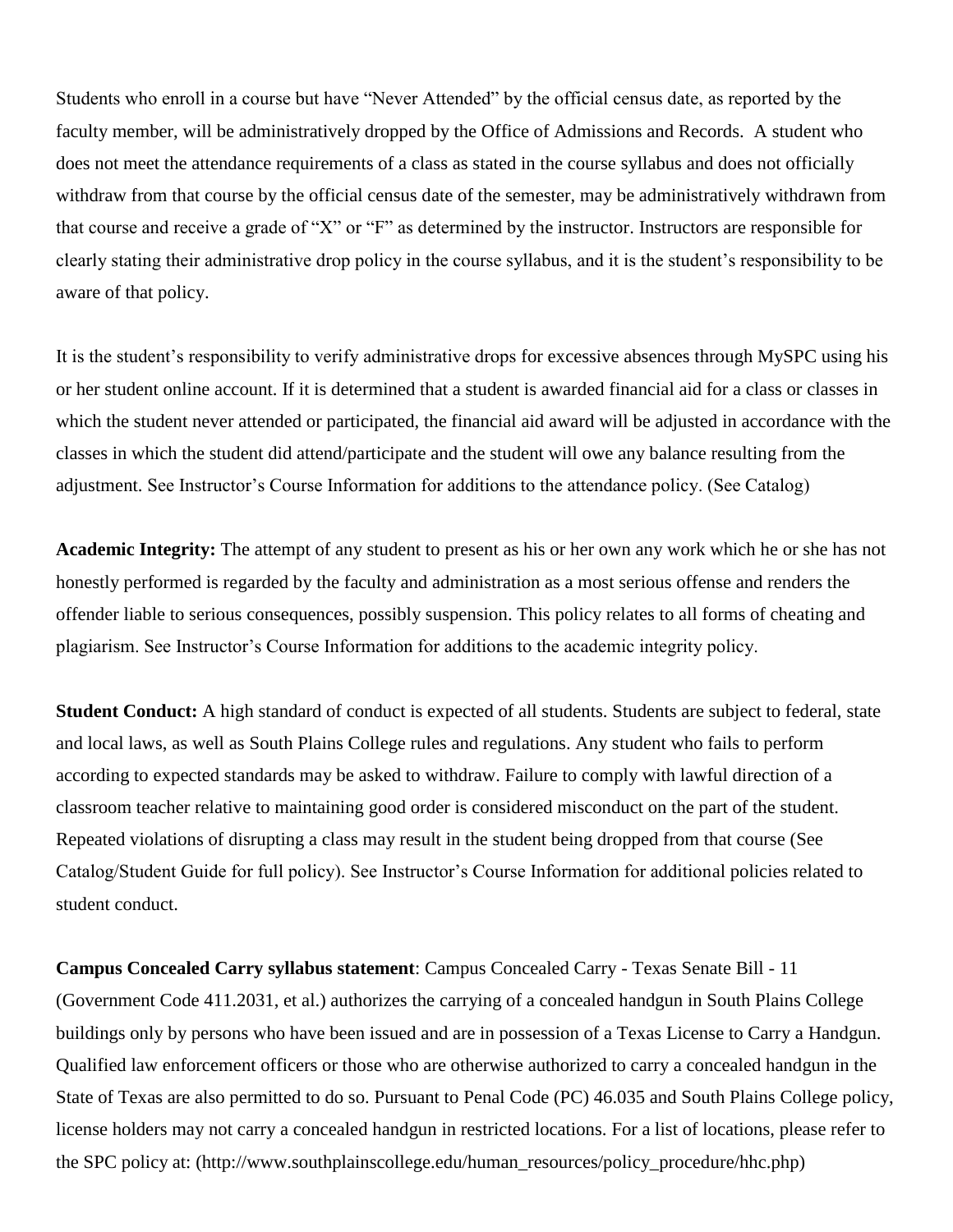Students who enroll in a course but have "Never Attended" by the official census date, as reported by the faculty member, will be administratively dropped by the Office of Admissions and Records. A student who does not meet the attendance requirements of a class as stated in the course syllabus and does not officially withdraw from that course by the official census date of the semester, may be administratively withdrawn from that course and receive a grade of "X" or "F" as determined by the instructor. Instructors are responsible for clearly stating their administrative drop policy in the course syllabus, and it is the student's responsibility to be aware of that policy.

It is the student's responsibility to verify administrative drops for excessive absences through MySPC using his or her student online account. If it is determined that a student is awarded financial aid for a class or classes in which the student never attended or participated, the financial aid award will be adjusted in accordance with the classes in which the student did attend/participate and the student will owe any balance resulting from the adjustment. See Instructor's Course Information for additions to the attendance policy. (See Catalog)

**Academic Integrity:** The attempt of any student to present as his or her own any work which he or she has not honestly performed is regarded by the faculty and administration as a most serious offense and renders the offender liable to serious consequences, possibly suspension. This policy relates to all forms of cheating and plagiarism. See Instructor's Course Information for additions to the academic integrity policy.

**Student Conduct:** A high standard of conduct is expected of all students. Students are subject to federal, state and local laws, as well as South Plains College rules and regulations. Any student who fails to perform according to expected standards may be asked to withdraw. Failure to comply with lawful direction of a classroom teacher relative to maintaining good order is considered misconduct on the part of the student. Repeated violations of disrupting a class may result in the student being dropped from that course (See Catalog/Student Guide for full policy). See Instructor's Course Information for additional policies related to student conduct.

**Campus Concealed Carry syllabus statement**: Campus Concealed Carry - Texas Senate Bill - 11 (Government Code 411.2031, et al.) authorizes the carrying of a concealed handgun in South Plains College buildings only by persons who have been issued and are in possession of a Texas License to Carry a Handgun. Qualified law enforcement officers or those who are otherwise authorized to carry a concealed handgun in the State of Texas are also permitted to do so. Pursuant to Penal Code (PC) 46.035 and South Plains College policy, license holders may not carry a concealed handgun in restricted locations. For a list of locations, please refer to the SPC policy at: (http://www.southplainscollege.edu/human\_resources/policy\_procedure/hhc.php)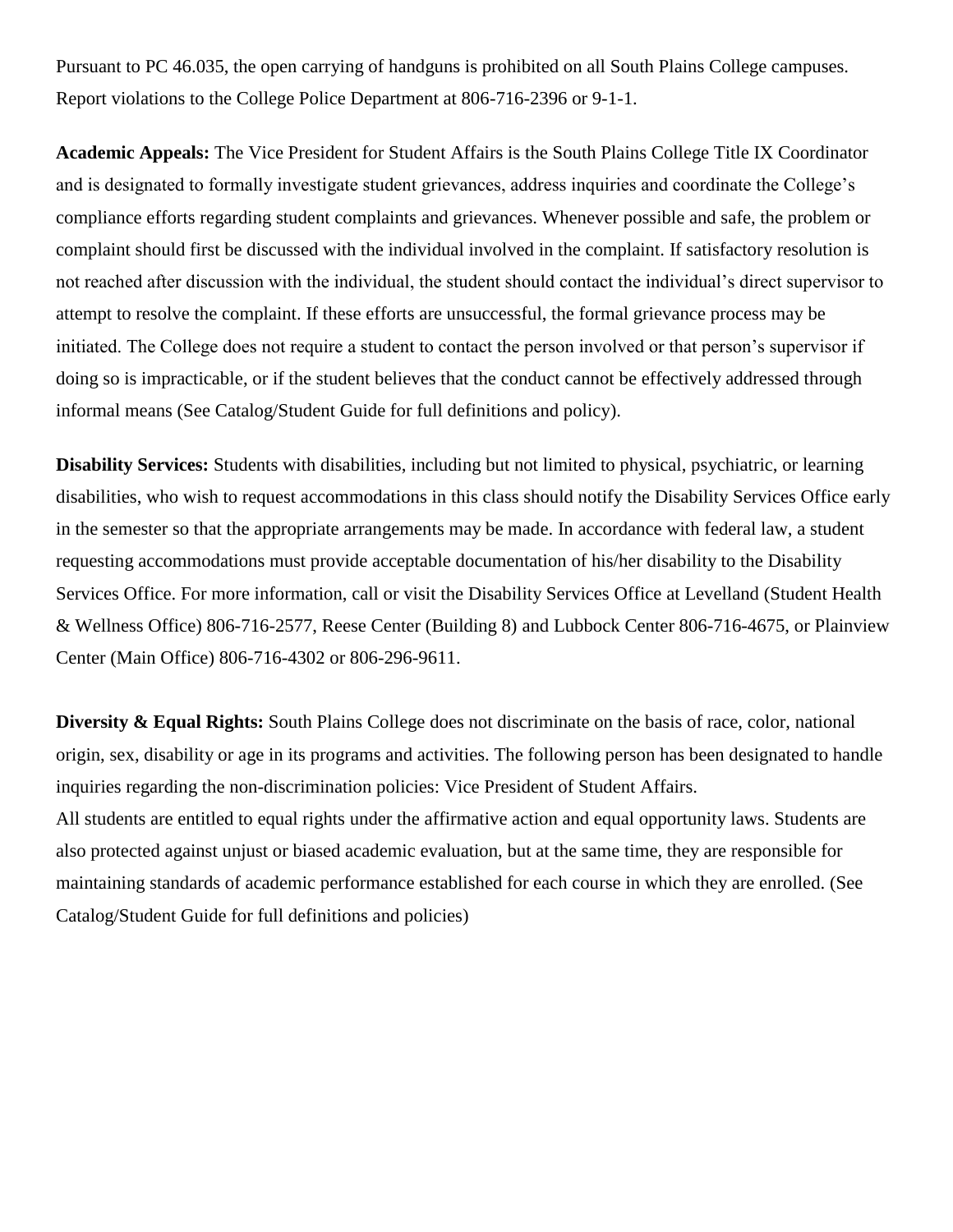Pursuant to PC 46.035, the open carrying of handguns is prohibited on all South Plains College campuses. Report violations to the College Police Department at 806-716-2396 or 9-1-1.

**Academic Appeals:** The Vice President for Student Affairs is the South Plains College Title IX Coordinator and is designated to formally investigate student grievances, address inquiries and coordinate the College's compliance efforts regarding student complaints and grievances. Whenever possible and safe, the problem or complaint should first be discussed with the individual involved in the complaint. If satisfactory resolution is not reached after discussion with the individual, the student should contact the individual's direct supervisor to attempt to resolve the complaint. If these efforts are unsuccessful, the formal grievance process may be initiated. The College does not require a student to contact the person involved or that person's supervisor if doing so is impracticable, or if the student believes that the conduct cannot be effectively addressed through informal means (See Catalog/Student Guide for full definitions and policy).

**Disability Services:** Students with disabilities, including but not limited to physical, psychiatric, or learning disabilities, who wish to request accommodations in this class should notify the Disability Services Office early in the semester so that the appropriate arrangements may be made. In accordance with federal law, a student requesting accommodations must provide acceptable documentation of his/her disability to the Disability Services Office. For more information, call or visit the Disability Services Office at Levelland (Student Health & Wellness Office) 806-716-2577, Reese Center (Building 8) and Lubbock Center 806-716-4675, or Plainview Center (Main Office) 806-716-4302 or 806-296-9611.

**Diversity & Equal Rights:** South Plains College does not discriminate on the basis of race, color, national origin, sex, disability or age in its programs and activities. The following person has been designated to handle inquiries regarding the non-discrimination policies: Vice President of Student Affairs. All students are entitled to equal rights under the affirmative action and equal opportunity laws. Students are also protected against unjust or biased academic evaluation, but at the same time, they are responsible for maintaining standards of academic performance established for each course in which they are enrolled. (See Catalog/Student Guide for full definitions and policies)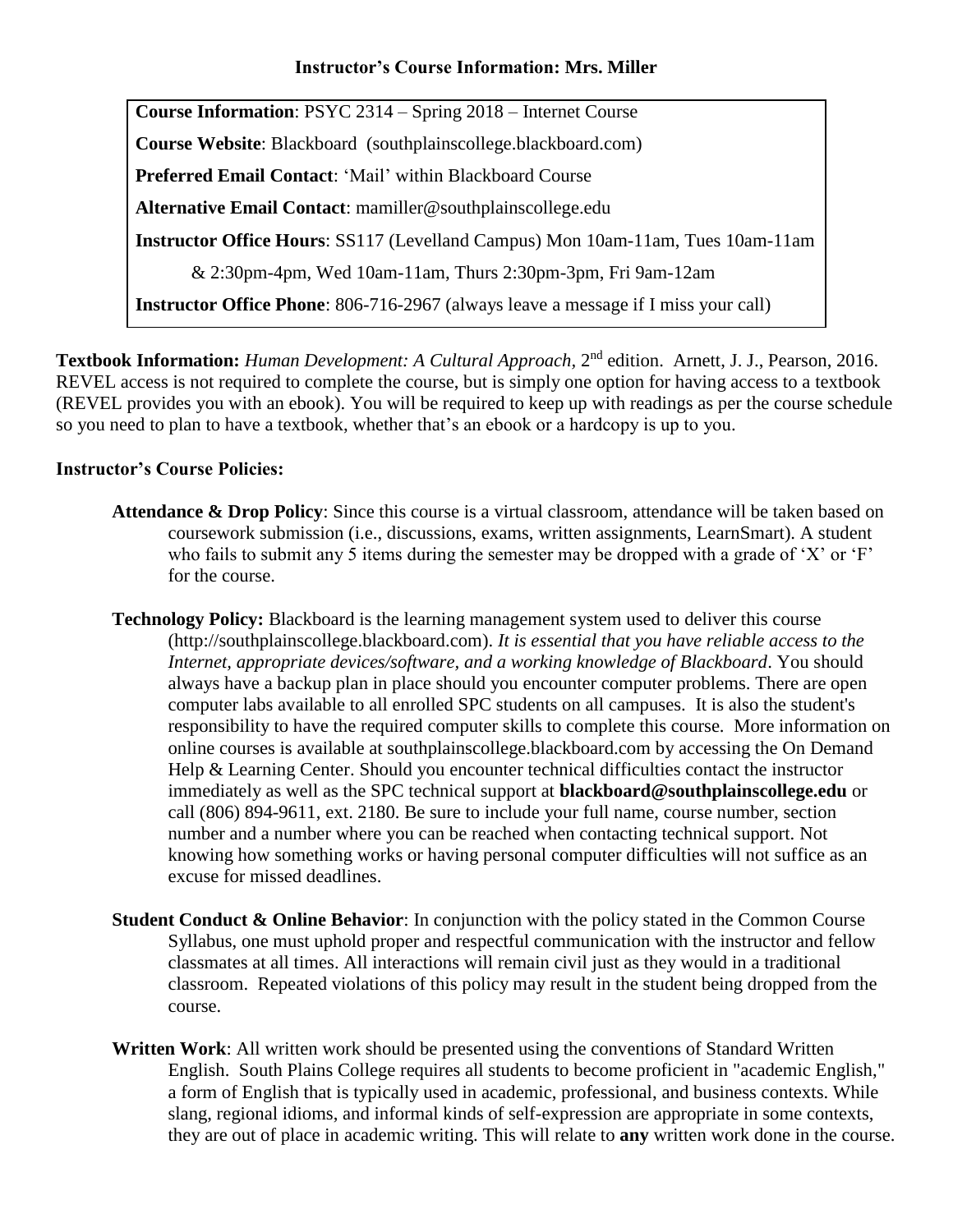### **Instructor's Course Information: Mrs. Miller**

**Course Information**: PSYC 2314 – Spring 2018 – Internet Course **Course Website**: Blackboard (southplainscollege.blackboard.com) **Preferred Email Contact**: 'Mail' within Blackboard Course **Alternative Email Contact**: [mamiller@southplainscollege.edu](mailto:mamiller@southplainscollege.edu) **Instructor Office Hours**: SS117 (Levelland Campus) Mon 10am-11am, Tues 10am-11am & 2:30pm-4pm, Wed 10am-11am, Thurs 2:30pm-3pm, Fri 9am-12am **Instructor Office Phone**: 806-716-2967 (always leave a message if I miss your call)

Textbook Information: *Human Development: A Cultural Approach*, 2<sup>nd</sup> edition. Arnett, J. J., Pearson, 2016. REVEL access is not required to complete the course, but is simply one option for having access to a textbook (REVEL provides you with an ebook). You will be required to keep up with readings as per the course schedule so you need to plan to have a textbook, whether that's an ebook or a hardcopy is up to you.

## **Instructor's Course Policies:**

- **Attendance & Drop Policy**: Since this course is a virtual classroom, attendance will be taken based on coursework submission (i.e., discussions, exams, written assignments, LearnSmart). A student who fails to submit any 5 items during the semester may be dropped with a grade of 'X' or 'F' for the course.
- **Technology Policy:** Blackboard is the learning management system used to deliver this course [\(http://southplainscollege.blackboard.com\)](https://southplainscollege.blackboard.com/). *It is essential that you have reliable access to the Internet, appropriate devices/software, and a working knowledge of Blackboard*. You should always have a backup plan in place should you encounter computer problems. There are open computer labs available to all enrolled SPC students on all campuses. It is also the student's responsibility to have the required computer skills to complete this course. More information on online courses is available at [southplainscollege.blackboard.com](http://www.southplainscollege.edu/online) by accessing the On Demand Help & Learning Center. Should you encounter technical difficulties contact the instructor immediately as well as the SPC technical support at **[blackboard@southplainscollege.edu](mailto:blackboard@southplainscollege.edu)** or call (806) 894-9611, ext. 2180. Be sure to include your full name, course number, section number and a number where you can be reached when contacting technical support. Not knowing how something works or having personal computer difficulties will not suffice as an excuse for missed deadlines.
- **Student Conduct & Online Behavior**: In conjunction with the policy stated in the Common Course Syllabus, one must uphold proper and respectful communication with the instructor and fellow classmates at all times. All interactions will remain civil just as they would in a traditional classroom. Repeated violations of this policy may result in the student being dropped from the course.
- **Written Work**: All written work should be presented using the conventions of Standard Written English. South Plains College requires all students to become proficient in "academic English," a form of English that is typically used in academic, professional, and business contexts. While slang, regional idioms, and informal kinds of self-expression are appropriate in some contexts, they are out of place in academic writing. This will relate to **any** written work done in the course.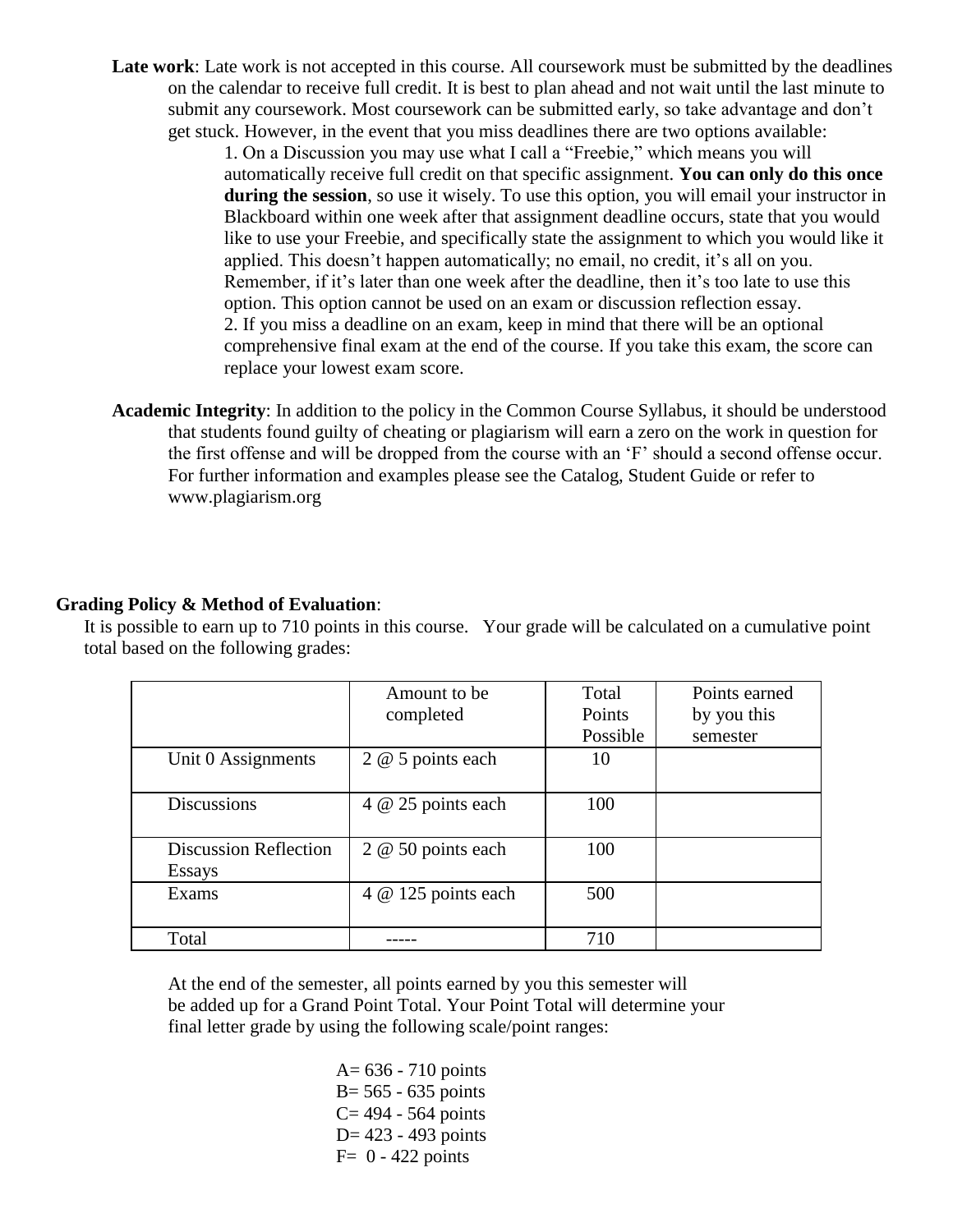Late work: Late work is not accepted in this course. All coursework must be submitted by the deadlines on the calendar to receive full credit. It is best to plan ahead and not wait until the last minute to submit any coursework. Most coursework can be submitted early, so take advantage and don't get stuck. However, in the event that you miss deadlines there are two options available:

> 1. On a Discussion you may use what I call a "Freebie," which means you will automatically receive full credit on that specific assignment. **You can only do this once during the session**, so use it wisely. To use this option, you will email your instructor in Blackboard within one week after that assignment deadline occurs, state that you would like to use your Freebie, and specifically state the assignment to which you would like it applied. This doesn't happen automatically; no email, no credit, it's all on you. Remember, if it's later than one week after the deadline, then it's too late to use this option. This option cannot be used on an exam or discussion reflection essay. 2. If you miss a deadline on an exam, keep in mind that there will be an optional comprehensive final exam at the end of the course. If you take this exam, the score can replace your lowest exam score.

**Academic Integrity**: In addition to the policy in the Common Course Syllabus, it should be understood that students found guilty of cheating or plagiarism will earn a zero on the work in question for the first offense and will be dropped from the course with an 'F' should a second offense occur. For further information and examples please see the Catalog, Student Guide or refer to [www.plagiarism.org](http://www.plagiarism.org/)

#### **Grading Policy & Method of Evaluation**:

It is possible to earn up to 710 points in this course. Your grade will be calculated on a cumulative point total based on the following grades:

|                              | Amount to be        | Total    | Points earned |
|------------------------------|---------------------|----------|---------------|
|                              | completed           | Points   | by you this   |
|                              |                     | Possible | semester      |
| Unit 0 Assignments           | 2 @ 5 points each   | 10       |               |
|                              |                     |          |               |
| <b>Discussions</b>           | 4 @ 25 points each  | 100      |               |
|                              |                     |          |               |
| <b>Discussion Reflection</b> | 2 @ 50 points each  | 100      |               |
| Essays                       |                     |          |               |
| Exams                        | 4 @ 125 points each | 500      |               |
|                              |                     |          |               |
| Total                        |                     | 710      |               |

At the end of the semester, all points earned by you this semester will be added up for a Grand Point Total. Your Point Total will determine your final letter grade by using the following scale/point ranges:

> A= 636 - 710 points  $B = 565 - 635$  points  $C = 494 - 564$  points D= 423 - 493 points  $F= 0 - 422$  points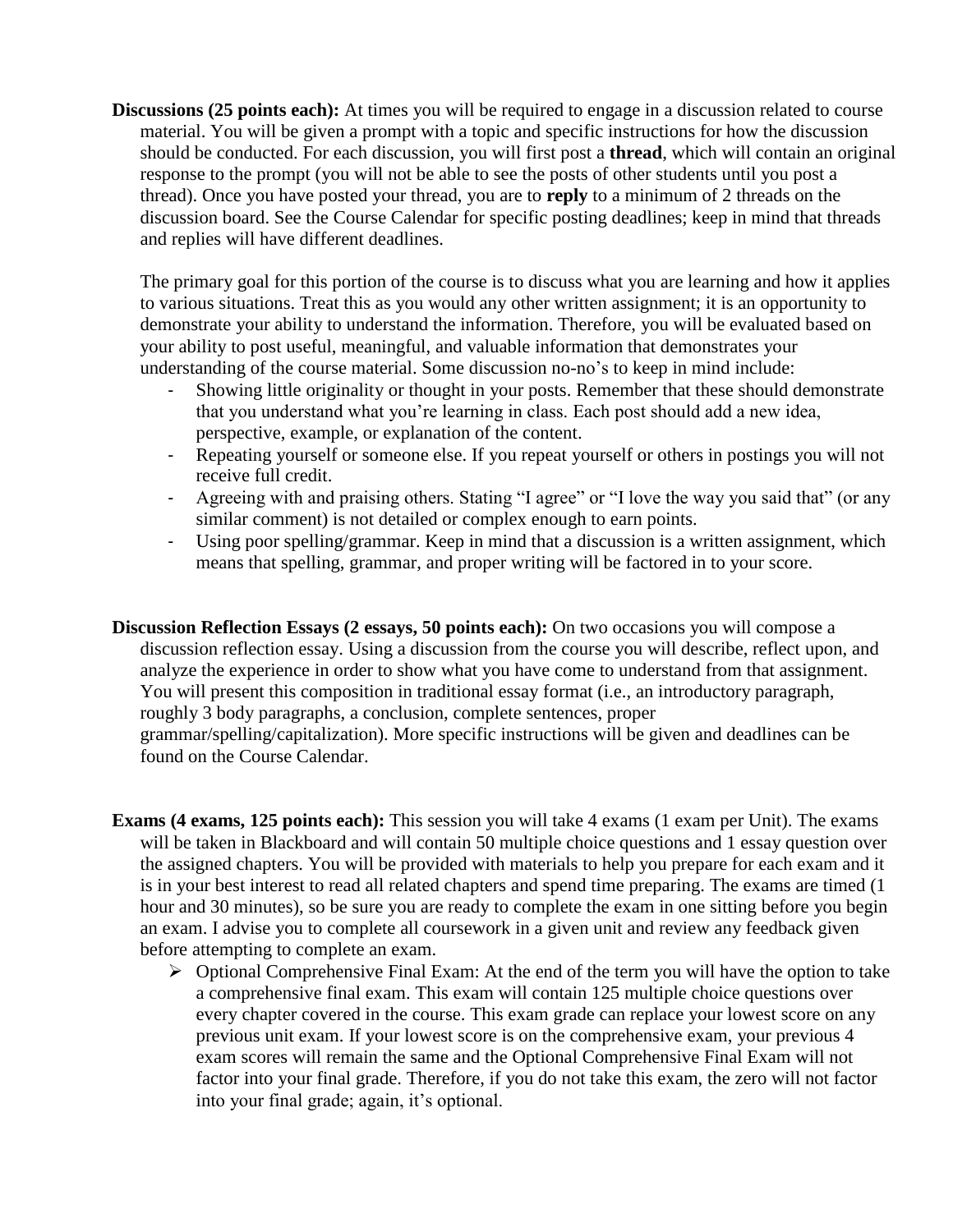**Discussions (25 points each):** At times you will be required to engage in a discussion related to course material. You will be given a prompt with a topic and specific instructions for how the discussion should be conducted. For each discussion, you will first post a **thread**, which will contain an original response to the prompt (you will not be able to see the posts of other students until you post a thread). Once you have posted your thread, you are to **reply** to a minimum of 2 threads on the discussion board. See the Course Calendar for specific posting deadlines; keep in mind that threads and replies will have different deadlines.

The primary goal for this portion of the course is to discuss what you are learning and how it applies to various situations. Treat this as you would any other written assignment; it is an opportunity to demonstrate your ability to understand the information. Therefore, you will be evaluated based on your ability to post useful, meaningful, and valuable information that demonstrates your understanding of the course material. Some discussion no-no's to keep in mind include:

- Showing little originality or thought in your posts. Remember that these should demonstrate that you understand what you're learning in class. Each post should add a new idea, perspective, example, or explanation of the content.
- Repeating yourself or someone else. If you repeat yourself or others in postings you will not receive full credit.
- Agreeing with and praising others. Stating "I agree" or "I love the way you said that" (or any similar comment) is not detailed or complex enough to earn points.
- Using poor spelling/grammar. Keep in mind that a discussion is a written assignment, which means that spelling, grammar, and proper writing will be factored in to your score.
- **Discussion Reflection Essays (2 essays, 50 points each):** On two occasions you will compose a discussion reflection essay. Using a discussion from the course you will describe, reflect upon, and analyze the experience in order to show what you have come to understand from that assignment. You will present this composition in traditional essay format (i.e., an introductory paragraph, roughly 3 body paragraphs, a conclusion, complete sentences, proper grammar/spelling/capitalization). More specific instructions will be given and deadlines can be found on the Course Calendar.
- **Exams (4 exams, 125 points each):** This session you will take 4 exams (1 exam per Unit). The exams will be taken in Blackboard and will contain 50 multiple choice questions and 1 essay question over the assigned chapters. You will be provided with materials to help you prepare for each exam and it is in your best interest to read all related chapters and spend time preparing. The exams are timed (1 hour and 30 minutes), so be sure you are ready to complete the exam in one sitting before you begin an exam. I advise you to complete all coursework in a given unit and review any feedback given before attempting to complete an exam.
	- $\triangleright$  Optional Comprehensive Final Exam: At the end of the term you will have the option to take a comprehensive final exam. This exam will contain 125 multiple choice questions over every chapter covered in the course. This exam grade can replace your lowest score on any previous unit exam. If your lowest score is on the comprehensive exam, your previous 4 exam scores will remain the same and the Optional Comprehensive Final Exam will not factor into your final grade. Therefore, if you do not take this exam, the zero will not factor into your final grade; again, it's optional.